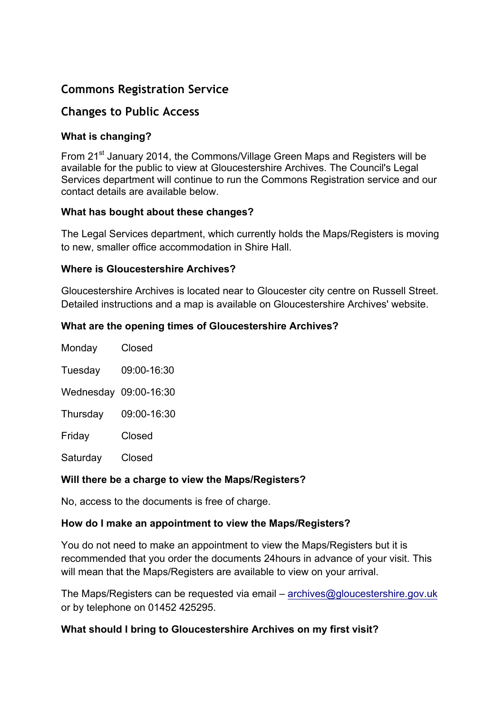# **Commons Registration Service**

## **Changes to Public Access**

## **What is changing?**

From 21<sup>st</sup> January 2014, the Commons/Village Green Maps and Registers will be available for the public to view at Gloucestershire Archives. The Council's Legal Services department will continue to run the Commons Registration service and our contact details are available below.

#### **What has bought about these changes?**

The Legal Services department, which currently holds the Maps/Registers is moving to new, smaller office accommodation in Shire Hall.

#### **Where is Gloucestershire Archives?**

Gloucestershire Archives is located near to Gloucester city centre on Russell Street. Detailed instructions and a map is available on Gloucestershire Archives' website.

#### **What are the opening times of Gloucestershire Archives?**

| Monday   | Closed                |
|----------|-----------------------|
| Tuesday  | 09:00-16:30           |
|          | Wednesday 09:00-16:30 |
| Thursday | 09:00-16:30           |
| Friday   | Closed                |
| Saturday | Closed                |

## **Will there be a charge to view the Maps/Registers?**

No, access to the documents is free of charge.

## **How do I make an appointment to view the Maps/Registers?**

You do not need to make an appointment to view the Maps/Registers but it is recommended that you order the documents 24hours in advance of your visit. This will mean that the Maps/Registers are available to view on your arrival.

The Maps/Registers can be requested via email – archives@gloucestershire.gov.uk or by telephone on 01452 425295.

## **What should I bring to Gloucestershire Archives on my first visit?**